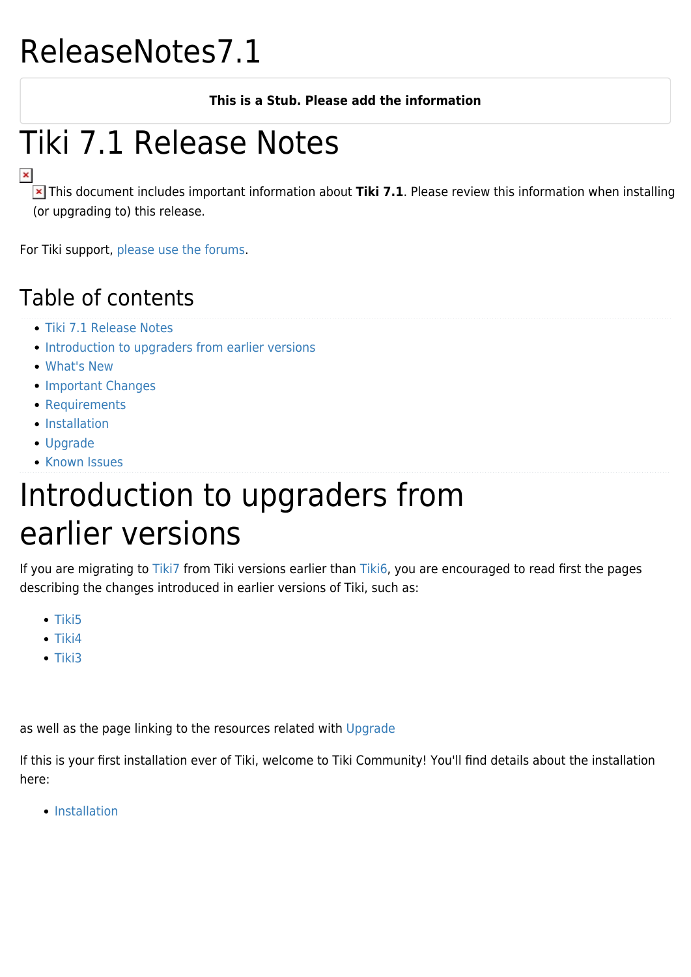#### ReleaseNotes7.1

#### **This is a Stub. Please add the information**

#### Tiki 7.1 Release Notes

 This document includes important information about **Tiki 7.1**. Please review this information when installing (or upgrading to) this release.

For Tiki support, [please use the forums](http://www.tiki.org/forums).

#### Table of contents

- [Tiki 7.1 Release Notes](#Tiki_7.1_Release_Notes)
- [Introduction to upgraders from earlier versions](#page--1-0)
- [What's New](#page--1-0)
- [Important Changes](#page--1-0)
- [Requirements](#page--1-0)
- **[Installation](#page--1-0)**
- [Upgrade](#page--1-0)
- [Known Issues](#page--1-0)

#### Introduction to upgraders from earlier versions

If you are migrating to [Tiki7](http://doc.tiki.org/Tiki7) from Tiki versions earlier than [Tiki6,](http://doc.tiki.org/Tiki6) you are encouraged to read first the pages describing the changes introduced in earlier versions of Tiki, such as:

- $\bullet$  [Tiki5](http://doc.tiki.org/Tiki5)
- $\bullet$  [Tiki4](http://doc.tiki.org/Tiki4)
- $\bullet$  [Tiki3](http://doc.tiki.org/Tiki3)

as well as the page linking to the resources related with [Upgrade](http://doc.tiki.org/Upgrade)

If this is your first installation ever of Tiki, welcome to Tiki Community! You'll find details about the installation here:

• [Installation](http://doc.tiki.org/Installation)